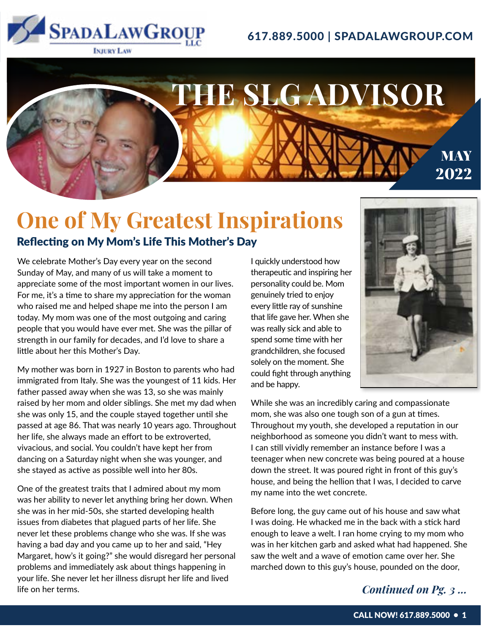

### 617.889.5000 | SPADALAWGROUP.COM

### Reflecting on My Mom's Life This Mother's Day **One of My Greatest Inspirations**

We celebrate Mother's Day every year on the second Sunday of May, and many of us will take a moment to appreciate some of the most important women in our lives. For me, it's a time to share my appreciation for the woman who raised me and helped shape me into the person I am today. My mom was one of the most outgoing and caring people that you would have ever met. She was the pillar of strength in our family for decades, and I'd love to share a little about her this Mother's Day.

My mother was born in 1927 in Boston to parents who had immigrated from Italy. She was the youngest of 11 kids. Her father passed away when she was 13, so she was mainly raised by her mom and older siblings. She met my dad when she was only 15, and the couple stayed together until she passed at age 86. That was nearly 10 years ago. Throughout her life, she always made an effort to be extroverted, vivacious, and social. You couldn't have kept her from dancing on a Saturday night when she was younger, and she stayed as active as possible well into her 80s.

One of the greatest traits that I admired about my mom was her ability to never let anything bring her down. When she was in her mid-50s, she started developing health issues from diabetes that plagued parts of her life. She never let these problems change who she was. If she was having a bad day and you came up to her and said, "Hey Margaret, how's it going?" she would disregard her personal problems and immediately ask about things happening in your life. She never let her illness disrupt her life and lived life on her terms.

I quickly understood how therapeutic and inspiring her personality could be. Mom genuinely tried to enjoy every little ray of sunshine that life gave her. When she was really sick and able to spend some time with her grandchildren, she focused solely on the moment. She could fight through anything and be happy.

**THE SLG ADVISOR**



**MAY** 

2022

While she was an incredibly caring and compassionate mom, she was also one tough son of a gun at times. Throughout my youth, she developed a reputation in our neighborhood as someone you didn't want to mess with. I can still vividly remember an instance before I was a teenager when new concrete was being poured at a house down the street. It was poured right in front of this guy's house, and being the hellion that I was, I decided to carve my name into the wet concrete.

Before long, the guy came out of his house and saw what I was doing. He whacked me in the back with a stick hard enough to leave a welt. I ran home crying to my mom who was in her kitchen garb and asked what had happened. She saw the welt and a wave of emotion came over her. She marched down to this guy's house, pounded on the door,

### *Continued on Pg. 3 ...*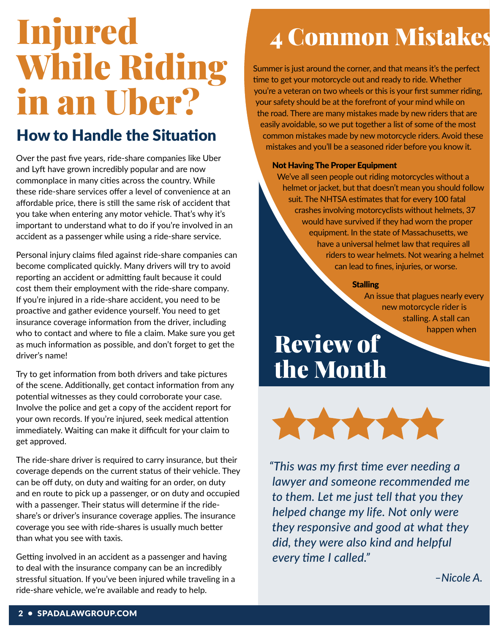# Injured While Riding in an Uber?

### How to Handle the Situation

Over the past five years, ride-share companies like Uber and Lyft have grown incredibly popular and are now commonplace in many cities across the country. While these ride-share services offer a level of convenience at an affordable price, there is still the same risk of accident that you take when entering any motor vehicle. That's why it's important to understand what to do if you're involved in an accident as a passenger while using a ride-share service.

Personal injury claims filed against ride-share companies can become complicated quickly. Many drivers will try to avoid reporting an accident or admitting fault because it could cost them their employment with the ride-share company. If you're injured in a ride-share accident, you need to be proactive and gather evidence yourself. You need to get insurance coverage information from the driver, including who to contact and where to file a claim. Make sure you get as much information as possible, and don't forget to get the driver's name!

Try to get information from both drivers and take pictures of the scene. Additionally, get contact information from any potential witnesses as they could corroborate your case. Involve the police and get a copy of the accident report for your own records. If you're injured, seek medical attention immediately. Waiting can make it difficult for your claim to get approved.

The ride-share driver is required to carry insurance, but their coverage depends on the current status of their vehicle. They can be off duty, on duty and waiting for an order, on duty and en route to pick up a passenger, or on duty and occupied with a passenger. Their status will determine if the rideshare's or driver's insurance coverage applies. The insurance coverage you see with ride-shares is usually much better than what you see with taxis.

Getting involved in an accident as a passenger and having to deal with the insurance company can be an incredibly stressful situation. If you've been injured while traveling in a ride-share vehicle, we're available and ready to help.

## 4 Common Mistakes

Summer is just around the corner, and that means it's the perfect time to get your motorcycle out and ready to ride. Whether you're a veteran on two wheels or this is your first summer riding, your safety should be at the forefront of your mind while on the road. There are many mistakes made by new riders that are easily avoidable, so we put together a list of some of the most common mistakes made by new motorcycle riders. Avoid these mistakes and you'll be a seasoned rider before you know it.

#### Not Having The Proper Equipment

We've all seen people out riding motorcycles without a helmet or jacket, but that doesn't mean you should follow suit. The NHTSA estimates that for every 100 fatal crashes involving motorcyclists without helmets, 37 would have survived if they had worn the proper equipment. In the state of Massachusetts, we have a universal helmet law that requires all riders to wear helmets. Not wearing a helmet can lead to fines, injuries, or worse.

#### **Stalling**

An issue that plagues nearly every new motorcycle rider is stalling. A stall can happen when

## Review of the Month



*"This was my first time ever needing a lawyer and someone recommended me to them. Let me just tell that you they helped change my life. Not only were they responsive and good at what they did, they were also kind and helpful every time I called."*

*–Nicole A.*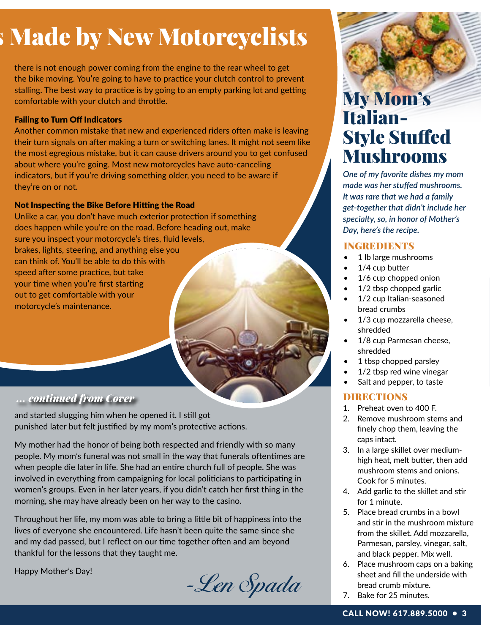## **5 Made by New Motorcyclists**

there is not enough power coming from the engine to the rear wheel to get the bike moving. You're going to have to practice your clutch control to prevent stalling. The best way to practice is by going to an empty parking lot and getting comfortable with your clutch and throttle.

### Failing to Turn Off Indicators

Another common mistake that new and experienced riders often make is leaving their turn signals on after making a turn or switching lanes. It might not seem like the most egregious mistake, but it can cause drivers around you to get confused about where you're going. Most new motorcycles have auto-canceling indicators, but if you're driving something older, you need to be aware if they're on or not.

### Not Inspecting the Bike Before Hitting the Road

Unlike a car, you don't have much exterior protection if something does happen while you're on the road. Before heading out, make sure you inspect your motorcycle's tires, fluid levels, brakes, lights, steering, and anything else you can think of. You'll be able to do this with speed after some practice, but take your time when you're first starting out to get comfortable with your motorcycle's maintenance.

### *... continued from Cover*

and started slugging him when he opened it. I still got punished later but felt justified by my mom's protective actions.

My mother had the honor of being both respected and friendly with so many people. My mom's funeral was not small in the way that funerals oftentimes are when people die later in life. She had an entire church full of people. She was involved in everything from campaigning for local politicians to participating in women's groups. Even in her later years, if you didn't catch her first thing in the morning, she may have already been on her way to the casino.

Throughout her life, my mom was able to bring a little bit of happiness into the lives of everyone she encountered. Life hasn't been quite the same since she and my dad passed, but I reflect on our time together often and am beyond thankful for the lessons that they taught me.

Happy Mother's Day!<br>-Len Spada

## My Mom's Italian-Style Stuffed Mushrooms

*One of my favorite dishes my mom made was her stuffed mushrooms. It was rare that we had a family get-together that didn't include her specialty, so, in honor of Mother's Day, here's the recipe.*

### **INGREDIENTS**

- 1 lb large mushrooms
- 1/4 cup butter
- 1/6 cup chopped onion
- 1/2 tbsp chopped garlic
- 1/2 cup Italian-seasoned bread crumbs
- 1/3 cup mozzarella cheese, shredded
- 1/8 cup Parmesan cheese. shredded
- 1 tbsp chopped parsley
- 1/2 tbsp red wine vinegar
- Salt and pepper, to taste

### **DIRECTIONS**

- 1. Preheat oven to 400 F.
- 2. Remove mushroom stems and finely chop them, leaving the caps intact.
- 3. In a large skillet over mediumhigh heat, melt butter, then add mushroom stems and onions. Cook for 5 minutes.
- 4. Add garlic to the skillet and stir for 1 minute.
- 5. Place bread crumbs in a bowl and stir in the mushroom mixture from the skillet. Add mozzarella, Parmesan, parsley, vinegar, salt, and black pepper. Mix well.
- 6. Place mushroom caps on a baking sheet and fill the underside with bread crumb mixture.
- 7. Bake for 25 minutes.